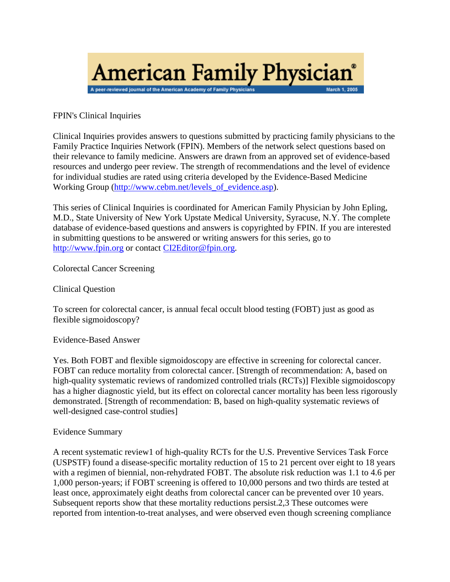

FPIN's Clinical Inquiries

Clinical Inquiries provides answers to questions submitted by practicing family physicians to the Family Practice Inquiries Network (FPIN). Members of the network select questions based on their relevance to family medicine. Answers are drawn from an approved set of evidence-based resources and undergo peer review. The strength of recommendations and the level of evidence for individual studies are rated using criteria developed by the Evidence-Based Medicine Working Group [\(http://www.cebm.net/levels\\_of\\_evidence.asp\)](http://www.cebm.net/levels_of_evidence.asp).

This series of Clinical Inquiries is coordinated for American Family Physician by John Epling, M.D., State University of New York Upstate Medical University, Syracuse, N.Y. The complete database of evidence-based questions and answers is copyrighted by FPIN. If you are interested in submitting questions to be answered or writing answers for this series, go to [http://www.fpin.org](http://www.fpin.org/) or contac[t CI2Editor@fpin.org.](mailto:CI2Editor@fpin.org)

Colorectal Cancer Screening

Clinical Question

To screen for colorectal cancer, is annual fecal occult blood testing (FOBT) just as good as flexible sigmoidoscopy?

Evidence-Based Answer

Yes. Both FOBT and flexible sigmoidoscopy are effective in screening for colorectal cancer. FOBT can reduce mortality from colorectal cancer. [Strength of recommendation: A, based on high-quality systematic reviews of randomized controlled trials (RCTs)] Flexible sigmoidoscopy has a higher diagnostic yield, but its effect on colorectal cancer mortality has been less rigorously demonstrated. [Strength of recommendation: B, based on high-quality systematic reviews of well-designed case-control studies]

# Evidence Summary

A recent systematic review1 of high-quality RCTs for the U.S. Preventive Services Task Force (USPSTF) found a disease-specific mortality reduction of 15 to 21 percent over eight to 18 years with a regimen of biennial, non-rehydrated FOBT. The absolute risk reduction was 1.1 to 4.6 per 1,000 person-years; if FOBT screening is offered to 10,000 persons and two thirds are tested at least once, approximately eight deaths from colorectal cancer can be prevented over 10 years. Subsequent reports show that these mortality reductions persist.2,3 These outcomes were reported from intention-to-treat analyses, and were observed even though screening compliance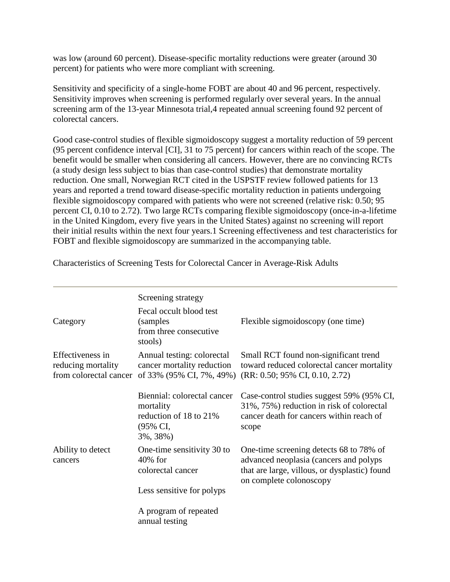was low (around 60 percent). Disease-specific mortality reductions were greater (around 30 percent) for patients who were more compliant with screening.

Sensitivity and specificity of a single-home FOBT are about 40 and 96 percent, respectively. Sensitivity improves when screening is performed regularly over several years. In the annual screening arm of the 13-year Minnesota trial,4 repeated annual screening found 92 percent of colorectal cancers.

Good case-control studies of flexible sigmoidoscopy suggest a mortality reduction of 59 percent (95 percent confidence interval [CI], 31 to 75 percent) for cancers within reach of the scope. The benefit would be smaller when considering all cancers. However, there are no convincing RCTs (a study design less subject to bias than case-control studies) that demonstrate mortality reduction. One small, Norwegian RCT cited in the USPSTF review followed patients for 13 years and reported a trend toward disease-specific mortality reduction in patients undergoing flexible sigmoidoscopy compared with patients who were not screened (relative risk: 0.50; 95 percent CI, 0.10 to 2.72). Two large RCTs comparing flexible sigmoidoscopy (once-in-a-lifetime in the United Kingdom, every five years in the United States) against no screening will report their initial results within the next four years.1 Screening effectiveness and test characteristics for FOBT and flexible sigmoidoscopy are summarized in the accompanying table.

|                                                                  | Screening strategy                                                                         |                                                                                                                                                               |
|------------------------------------------------------------------|--------------------------------------------------------------------------------------------|---------------------------------------------------------------------------------------------------------------------------------------------------------------|
| Category                                                         | Fecal occult blood test<br>(samples)<br>from three consecutive<br>stools)                  | Flexible sigmoidoscopy (one time)                                                                                                                             |
| Effectiveness in<br>reducing mortality<br>from colorectal cancer | Annual testing: colorectal<br>cancer mortality reduction                                   | Small RCT found non-significant trend<br>toward reduced colorectal cancer mortality<br>of 33% (95% CI, 7%, 49%) (RR: 0.50; 95% CI, 0.10, 2.72)                |
| Ability to detect<br>cancers                                     | Biennial: colorectal cancer<br>mortality<br>reduction of 18 to 21%<br>(95% CI,<br>3%, 38%) | Case-control studies suggest 59% (95% CI,<br>31%, 75%) reduction in risk of colorectal<br>cancer death for cancers within reach of<br>scope                   |
|                                                                  | One-time sensitivity 30 to<br>$40\%$ for<br>colorectal cancer                              | One-time screening detects 68 to 78% of<br>advanced neoplasia (cancers and polyps<br>that are large, villous, or dysplastic) found<br>on complete colonoscopy |
|                                                                  | Less sensitive for polyps                                                                  |                                                                                                                                                               |
|                                                                  | A program of repeated<br>annual testing                                                    |                                                                                                                                                               |

Characteristics of Screening Tests for Colorectal Cancer in Average-Risk Adults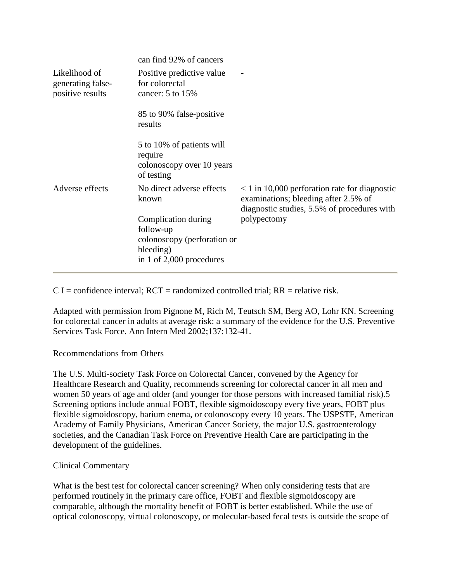|                                                        | can find 92% of cancers                                                                                    |                                                                                                                                                      |
|--------------------------------------------------------|------------------------------------------------------------------------------------------------------------|------------------------------------------------------------------------------------------------------------------------------------------------------|
| Likelihood of<br>generating false-<br>positive results | Positive predictive value<br>for colorectal<br>cancer: 5 to 15%                                            |                                                                                                                                                      |
|                                                        | 85 to 90% false-positive<br>results                                                                        |                                                                                                                                                      |
|                                                        | 5 to 10% of patients will<br>require<br>colonoscopy over 10 years<br>of testing                            |                                                                                                                                                      |
| Adverse effects                                        | No direct adverse effects<br>known                                                                         | $\langle 1 \rangle$ in 10,000 perforation rate for diagnostic<br>examinations; bleeding after 2.5% of<br>diagnostic studies, 5.5% of procedures with |
|                                                        | Complication during<br>follow-up<br>colonoscopy (perforation or<br>bleeding)<br>in 1 of $2,000$ procedures | polypectomy                                                                                                                                          |

 $C I =$  confidence interval;  $RCT =$  randomized controlled trial;  $RR =$  relative risk.

Adapted with permission from Pignone M, Rich M, Teutsch SM, Berg AO, Lohr KN. Screening for colorectal cancer in adults at average risk: a summary of the evidence for the U.S. Preventive Services Task Force. Ann Intern Med 2002;137:132-41.

# Recommendations from Others

The U.S. Multi-society Task Force on Colorectal Cancer, convened by the Agency for Healthcare Research and Quality, recommends screening for colorectal cancer in all men and women 50 years of age and older (and younger for those persons with increased familial risk).5 Screening options include annual FOBT, flexible sigmoidoscopy every five years, FOBT plus flexible sigmoidoscopy, barium enema, or colonoscopy every 10 years. The USPSTF, American Academy of Family Physicians, American Cancer Society, the major U.S. gastroenterology societies, and the Canadian Task Force on Preventive Health Care are participating in the development of the guidelines.

# Clinical Commentary

What is the best test for colorectal cancer screening? When only considering tests that are performed routinely in the primary care office, FOBT and flexible sigmoidoscopy are comparable, although the mortality benefit of FOBT is better established. While the use of optical colonoscopy, virtual colonoscopy, or molecular-based fecal tests is outside the scope of